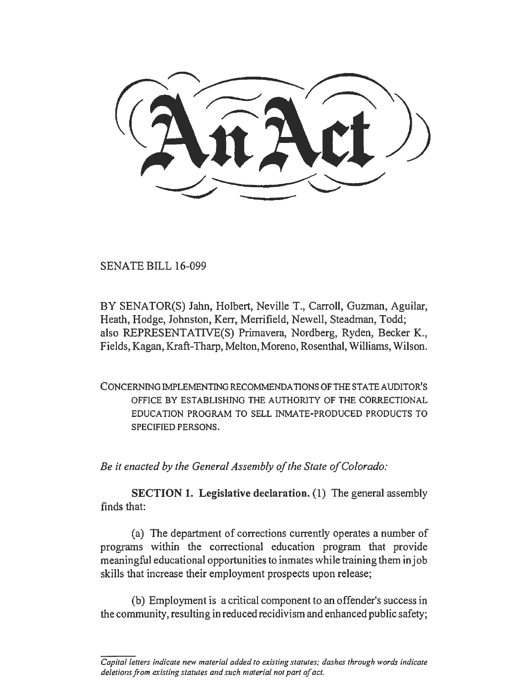SENATE BILL 16-099

BY SENATOR(S) Jahn, Holbert, Neville T., Carroll, Guzman, Aguilar, Heath, Hodge, Johnston, Kerr, Merrifield, Newell, Steadman, Todd; also REPRESENT ATIVE(S) Primavera, Nordberg, Ryden, Becker K., Fields, Kagan, Kraft-Tharp, Melton, Moreno, Rosenthal, Williams, Wilson.

CONCERNING IMPLEMENTING RECOMMENDATIONS OF THE STATE AUDITOR'S OFFICE BY ESTABLISHING THE AUTHORITY OF THE CORRECTIONAL EDUCATION PROGRAM TO SELL INMATE-PRODUCED PRODUCTS TO SPECIFIED PERSONS.

*Be it enacted by the General Assembly of the State of Colorado:* 

SECTION 1. Legislative declaration. (1) The general assembly finds that:

(a) The department of corrections currently operates a number of programs within the correctional education program that provide meaningful educational opportunities to inmates while training them in job skills that increase their employment prospects upon release;

(b) Employment is a critical component to an offender's success in the community, resulting in reduced recidivism and enhanced public safety;

*Capital letters indicate new material added to existing statutes; dashes through words indicate deletions from existing statutes and such material not part of act.*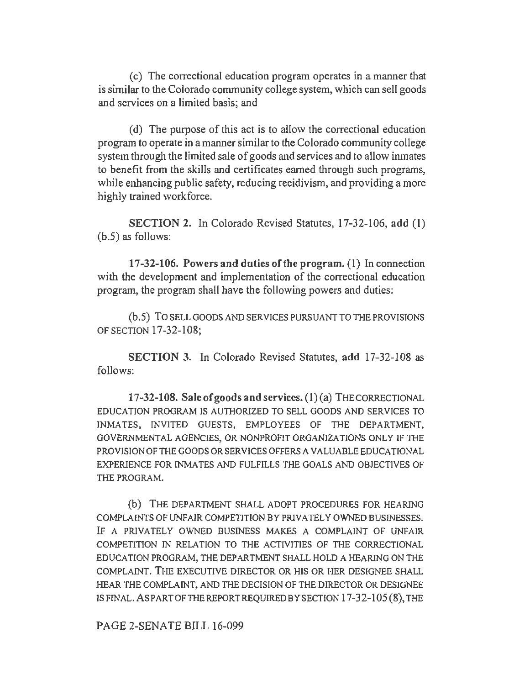(c) The correctional education program operates in a manner that is similar to the Colorado community college system, which can sell goods and services on a limited basis; and

( d) The purpose of this act is to allow the correctional education program to operate in a manner similar to the Colorado community college system through the limited sale of goods and services and to allow inmates to benefit from the skills and certificates earned through such programs, while enhancing public safety, reducing recidivism, and providing a more highly trained workforce.

SECTION 2. In Colorado Revised Statutes, 17-32-106, add (1) (b.5) as follows:

17-32-106. Powers and duties of the program. (1) In connection with the development and implementation of the correctional education program, the program shall have the following powers and duties:

(b.5) TO SELL GOODS AND SERVICES PURSUANT TO THE PROVISIONS OF SECTION 17-32-108;

SECTION 3. In Colorado Revised Statutes, add 17-32-108 as follows:

 $17-32-108$ . Sale of goods and services.  $(1)(a)$  THE CORRECTIONAL EDUCATION PROGRAM IS AUTHORIZED TO SELL GOODS AND SERVICES TO INMATES, INVITED GUESTS, EMPLOYEES OF THE DEPARTMENT, GOVERNMENTAL AGENCIES, OR NONPROFIT ORGANIZATIONS ONLY IF THE PROVISION OF THE GOODS OR SERVICES OFFERS A VALUABLE EDUCATIONAL EXPERIENCE FOR INMATES AND FULFILLS THE GOALS AND OBJECTIVES OF THE PROGRAM.

(b) THE DEPARTMENT SHALL ADOPT PROCEDURES FOR HEARING COMPLAINTS OF UNFAIR COMPETITION BY PRIVATELY OWNED BUSINESSES. IF A PRIVATELY OWNED BUSINESS MAKES A COMPLAINT OF UNFAIR COMPETITION IN RELATION TO THE ACTIVITIES OF THE CORRECTIONAL EDUCATION PROGRAM, THE DEPARTMENT SHALL HOLD A HEARING ON THE COMPLAINT. THE EXECUTIVE DIRECTOR OR HIS OR HER DESIGNEE SHALL HEAR THE COMPLAINT, AND THE DECISION OF THE DIRECTOR OR DESIGNEE ISFINAL.ASPARTOFTHEREPORTREQUIREDBYSECTION 17-32-105 (8), THE

PAGE 2-SENATE BILL 16-099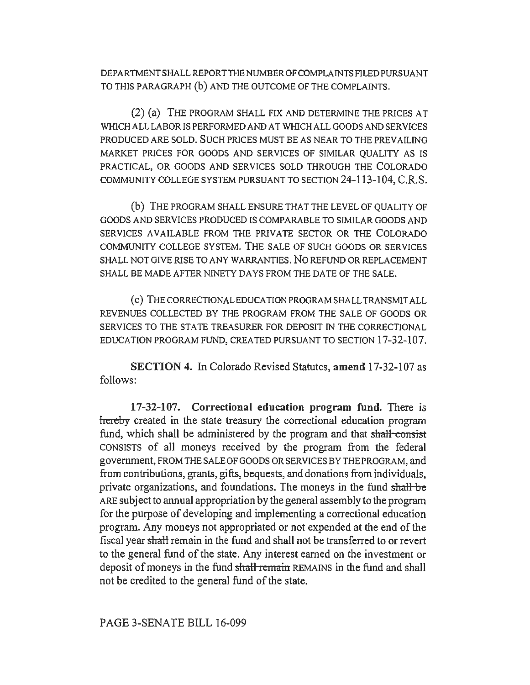DEPARTMENT SHALL REPORT THE NUMBER OF COMPLAINTS FILED PURSUANT TO THIS PARAGRAPH (b) AND THE OUTCOME OF THE COMPLAINTS.

(2) (a) THE PROGRAM SHALL FIX AND DETERMINE THE PRICES AT WHICH ALL LABOR IS PERFORMED AND AT WHICH ALL GOODS AND SERVICES PRODUCED ARE SOLD. SUCH PRICES MUST BE AS NEAR TO THE PREVAILING MARKET PRICES FOR GOODS AND SERVICES OF SIMILAR QUALITY AS IS PRACTICAL, OR GOODS AND SERVICES SOLD THROUGH THE COLORADO COMMUNITY COLLEGE SYSTEM PURSUANT TO SECTION 24-113-104, C.R.S.

(b) THE PROGRAM SHALL ENSURE THAT THE LEVEL OF QUALITY OF GOODS AND SERVICES PRODUCED IS COMPARABLE TO SIMILAR GOODS AND SERVICES AVAILABLE FROM THE PRIVATE SECTOR OR THE COLORADO COMMUNITY COLLEGE SYSTEM. THE SALE OF SUCH GOODS OR SERVICES SHALL NOT GIVE RISE TO ANY WARRANTIES. NO REFUND OR REPLACEMENT SHALL BE MADE AFTER NINETY DAYS FROM THE DATE OF THE SALE.

( c) THE CORRECTIONAL EDUCATION PROGRAM SHALL TRANSMIT ALL REVENUES COLLECTED BY THE PROGRAM FROM THE SALE OF GOODS OR SERVICES TO THE STATE TREASURER FOR DEPOSIT IN THE CORRECTIONAL EDUCATION PROGRAM FUND, CREATED PURSUANT TO SECTION 17-32-107.

SECTION 4. In Colorado Revised Statutes, amend 17-32-107 as follows:

17-32-107. Correctional education program fund. There is hereby created in the state treasury the correctional education program fund, which shall be administered by the program and that shall consist CONSISTS of all moneys received by the program from the federal government, FROM THE SALE OF GOODS OR SERVICES BY THE PROGRAM, and from contributions, grants, gifts, bequests, and donations from individuals, private organizations, and foundations. The moneys in the fund shall-be ARE subject to annual appropriation by the general assembly to the program for the purpose of developing and implementing a correctional education program. Any moneys not appropriated or not expended at the end of the fiscal year shaH remain in the fund and shall not be transferred to or revert to the general fund of the state. Any interest earned on the investment or deposit of moneys in the fund shall remain REMAINS in the fund and shall not be credited to the general fund of the state.

PAGE 3-SENATE BILL 16-099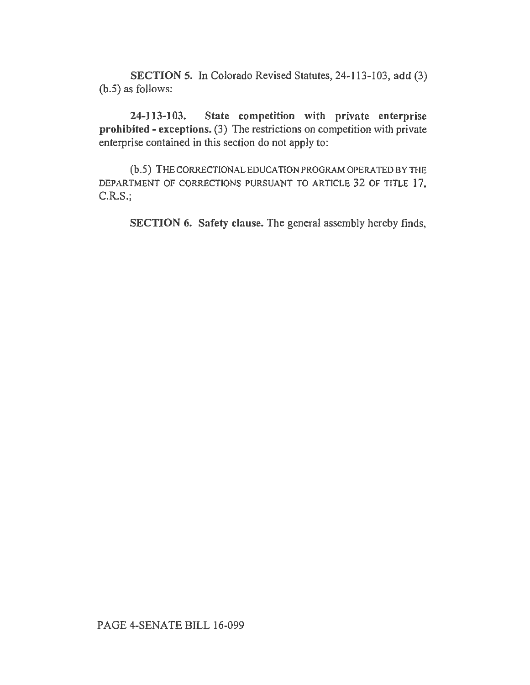SECTION 5. In Colorado Revised Statutes, 24-113-103, add (3) (b.5) *as* follows:

24-113-103. State competition with private enterprise prohibited - exceptions. (3) The restrictions on competition with private enterprise contained in this section do not apply to:

(b.5) THE CORRECTIONAL EDUCATION PROGRAM OPERA TED BY THE DEPARTMENT OF CORRECTIONS PURSUANT TO ARTICLE 32 OF TITLE 17, C.R.S.;

SECTION 6. Safety clause. The general assembly hereby finds,